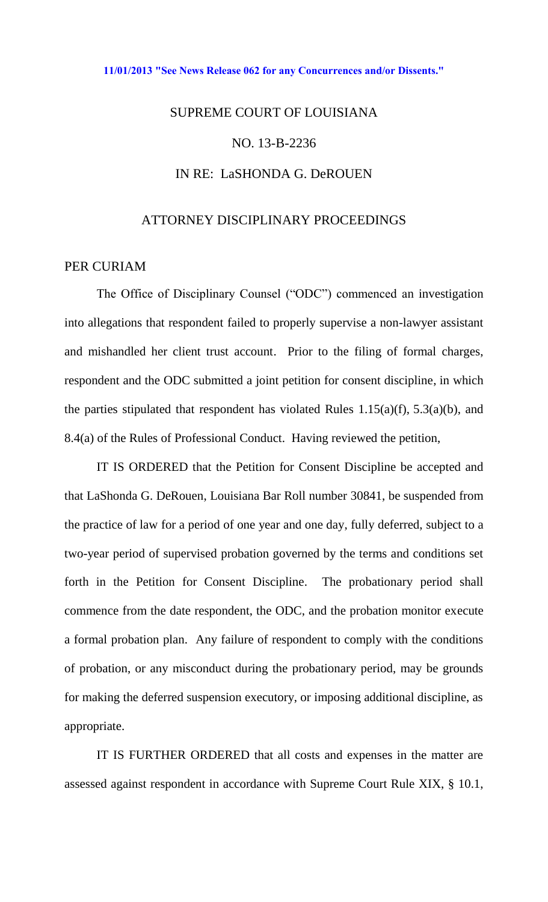## **[11/01/2013 "See News Release 062 for any Concurrences and/or Dissents."](http://www.lasc.org/Actions?p=2013-062)**

## SUPREME COURT OF LOUISIANA NO. 13-B-2236 IN RE: LaSHONDA G. DeROUEN

## ATTORNEY DISCIPLINARY PROCEEDINGS

## PER CURIAM

The Office of Disciplinary Counsel ("ODC") commenced an investigation into allegations that respondent failed to properly supervise a non-lawyer assistant and mishandled her client trust account. Prior to the filing of formal charges, respondent and the ODC submitted a joint petition for consent discipline, in which the parties stipulated that respondent has violated Rules  $1.15(a)(f)$ ,  $5.3(a)(b)$ , and 8.4(a) of the Rules of Professional Conduct. Having reviewed the petition,

 IT IS ORDERED that the Petition for Consent Discipline be accepted and that LaShonda G. DeRouen, Louisiana Bar Roll number 30841, be suspended from the practice of law for a period of one year and one day, fully deferred, subject to a two-year period of supervised probation governed by the terms and conditions set forth in the Petition for Consent Discipline. The probationary period shall commence from the date respondent, the ODC, and the probation monitor execute a formal probation plan. Any failure of respondent to comply with the conditions of probation, or any misconduct during the probationary period, may be grounds for making the deferred suspension executory, or imposing additional discipline, as appropriate.

IT IS FURTHER ORDERED that all costs and expenses in the matter are assessed against respondent in accordance with Supreme Court Rule XIX, § 10.1,